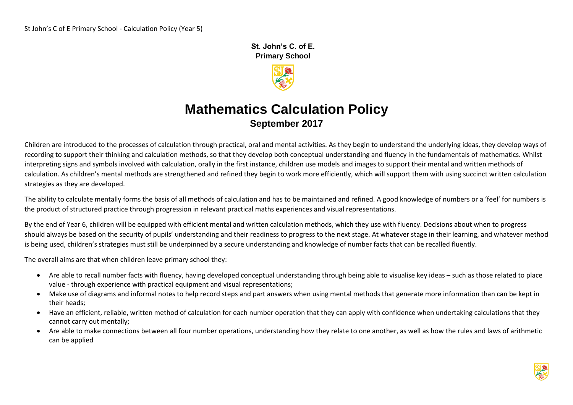**St. John's C. of E. Primary School** 



# **Mathematics Calculation Policy September 2017**

Children are introduced to the processes of calculation through practical, oral and mental activities. As they begin to understand the underlying ideas, they develop ways of recording to support their thinking and calculation methods, so that they develop both conceptual understanding and fluency in the fundamentals of mathematics. Whilst interpreting signs and symbols involved with calculation, orally in the first instance, children use models and images to support their mental and written methods of calculation. As children's mental methods are strengthened and refined they begin to work more efficiently, which will support them with using succinct written calculation strategies as they are developed.

The ability to calculate mentally forms the basis of all methods of calculation and has to be maintained and refined. A good knowledge of numbers or a 'feel' for numbers is the product of structured practice through progression in relevant practical maths experiences and visual representations.

By the end of Year 6, children will be equipped with efficient mental and written calculation methods, which they use with fluency. Decisions about when to progress should always be based on the security of pupils' understanding and their readiness to progress to the next stage. At whatever stage in their learning, and whatever method is being used, children's strategies must still be underpinned by a secure understanding and knowledge of number facts that can be recalled fluently.

The overall aims are that when children leave primary school they:

- Are able to recall number facts with fluency, having developed conceptual understanding through being able to visualise key ideas such as those related to place value - through experience with practical equipment and visual representations;
- Make use of diagrams and informal notes to help record steps and part answers when using mental methods that generate more information than can be kept in their heads;
- Have an efficient, reliable, written method of calculation for each number operation that they can apply with confidence when undertaking calculations that they cannot carry out mentally;
- Are able to make connections between all four number operations, understanding how they relate to one another, as well as how the rules and laws of arithmetic can be applied

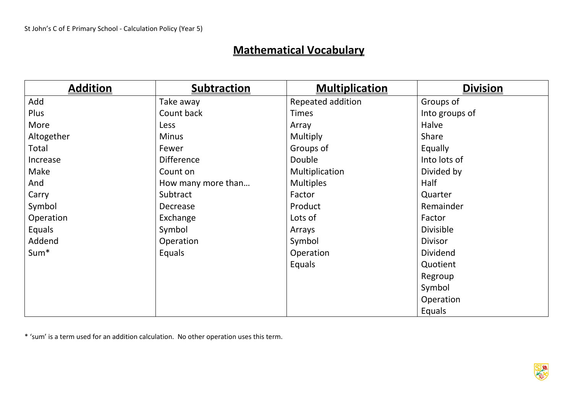# **Mathematical Vocabulary**

| <b>Addition</b>  | <b>Subtraction</b> | <b>Multiplication</b> | <b>Division</b>  |
|------------------|--------------------|-----------------------|------------------|
| Add              | Take away          | Repeated addition     | Groups of        |
| Plus             | Count back         | <b>Times</b>          | Into groups of   |
| More             | Less               | Array                 | Halve            |
| Altogether       | <b>Minus</b>       | Multiply              | Share            |
| Total            | Fewer              | Groups of             | Equally          |
| Increase         | <b>Difference</b>  | Double                | Into lots of     |
| Make             | Count on           | Multiplication        | Divided by       |
| And              | How many more than | <b>Multiples</b>      | Half             |
| Carry            | Subtract           | Factor                | Quarter          |
| Symbol           | Decrease           | Product               | Remainder        |
| Operation        | Exchange           | Lots of               | Factor           |
| Equals           | Symbol             | Arrays                | <b>Divisible</b> |
| Addend           | Operation          | Symbol                | <b>Divisor</b>   |
| Sum <sup>*</sup> | Equals             | Operation             | <b>Dividend</b>  |
|                  |                    | Equals                | Quotient         |
|                  |                    |                       | Regroup          |
|                  |                    |                       | Symbol           |
|                  |                    |                       | Operation        |
|                  |                    |                       | Equals           |

\* 'sum' is a term used for an addition calculation. No other operation uses this term.

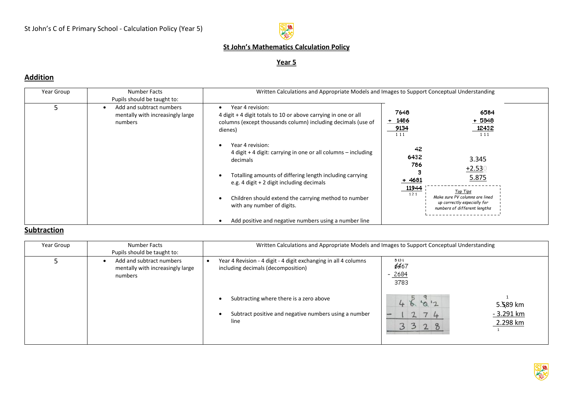

### **Year 5**

### **Addition**

| Year Group | Number Facts<br>Pupils should be taught to:                             | Written Calculations and Appropriate Models and Images to Support Conceptual Understanding                                                                    |                                   |                                                                                                           |  |
|------------|-------------------------------------------------------------------------|---------------------------------------------------------------------------------------------------------------------------------------------------------------|-----------------------------------|-----------------------------------------------------------------------------------------------------------|--|
|            | Add and subtract numbers<br>mentally with increasingly large<br>numbers | Year 4 revision:<br>4 digit + 4 digit totals to 10 or above carrying in one or all<br>columns (except thousands column) including decimals (use of<br>dienes) | 7648<br>$+ 1486$<br>9134<br>1 1 1 | 6584<br>$+5848$<br>12432<br>1 1 1                                                                         |  |
|            |                                                                         | Year 4 revision:<br>4 digit + 4 digit: carrying in one or all columns – including<br>decimals                                                                 | 42<br>6432<br>786                 | 3.345<br>$+2.530$                                                                                         |  |
|            |                                                                         | Totalling amounts of differing length including carrying<br>e.g. 4 digit + 2 digit including decimals                                                         | 4681<br>11944                     | 5.875                                                                                                     |  |
|            |                                                                         | Children should extend the carrying method to number<br>with any number of digits.                                                                            | 121                               | Top Tips<br>Make sure PV columns are lined<br>up correctly especially for<br>numbers of different lengths |  |
|            |                                                                         | Add positive and negative numbers using a number line                                                                                                         |                                   |                                                                                                           |  |

## **Subtraction**

| Year Group | Number Facts<br>Pupils should be taught to:                             | Written Calculations and Appropriate Models and Images to Support Conceptual Understanding                                                                                                                        |                                                                                                       |  |
|------------|-------------------------------------------------------------------------|-------------------------------------------------------------------------------------------------------------------------------------------------------------------------------------------------------------------|-------------------------------------------------------------------------------------------------------|--|
|            | Add and subtract numbers<br>mentally with increasingly large<br>numbers | Year 4 Revision - 4 digit - 4 digit exchanging in all 4 columns<br>including decimals (decomposition)<br>Subtracting where there is a zero above<br>Subtract positive and negative numbers using a number<br>line | 5131<br><b>6467</b><br>$-2684$<br>3783<br>1012<br>5.589 km<br>$-3.291$ km<br>74<br>2.298 km<br>8<br>2 |  |

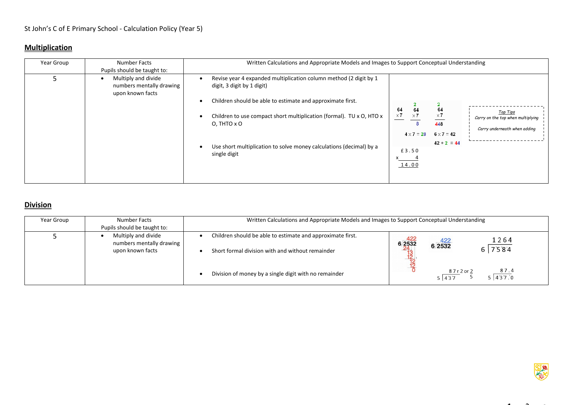### **Multiplication**

| Year Group | Number Facts<br>Pupils should be taught to:                         | Written Calculations and Appropriate Models and Images to Support Conceptual Understanding                                                                                                                                                                                                                                                       |                                                                                                                                                                                                                               |
|------------|---------------------------------------------------------------------|--------------------------------------------------------------------------------------------------------------------------------------------------------------------------------------------------------------------------------------------------------------------------------------------------------------------------------------------------|-------------------------------------------------------------------------------------------------------------------------------------------------------------------------------------------------------------------------------|
|            | Multiply and divide<br>numbers mentally drawing<br>upon known facts | Revise year 4 expanded multiplication column method (2 digit by 1<br>digit, 3 digit by 1 digit)<br>Children should be able to estimate and approximate first.<br>Children to use compact short multiplication (formal). TU x O, HTO x<br>$O$ , THTO $x O$<br>Use short multiplication to solve money calculations (decimal) by a<br>single digit | 64<br>64<br>64<br>Top Tips<br>$\times 7$<br>$\times 7$<br>$\times 7$<br>Carry on the top when multiplying<br>448<br>Carry underneath when adding<br>$4 \times 7 = 28$<br>$6 \times 7 = 42$<br>$42 + 2 = 44$<br>£3.50<br>14.00 |

### **Division**

| Year Group | Number Facts<br>Pupils should be taught to:                         | Written Calculations and Appropriate Models and Images to Support Conceptual Understanding                     |                                            |                            |
|------------|---------------------------------------------------------------------|----------------------------------------------------------------------------------------------------------------|--------------------------------------------|----------------------------|
|            | Multiply and divide<br>numbers mentally drawing<br>upon known facts | Children should be able to estimate and approximate first.<br>Short formal division with and without remainder | $6\frac{422}{2532}$<br>$6\overline{)2532}$ | 1264<br>7584               |
|            |                                                                     | Division of money by a single digit with no remainder                                                          | 5 437                                      | 87.4<br>87r2or2<br>5 437.0 |



 $14$  3  $2$   $2$   $2$